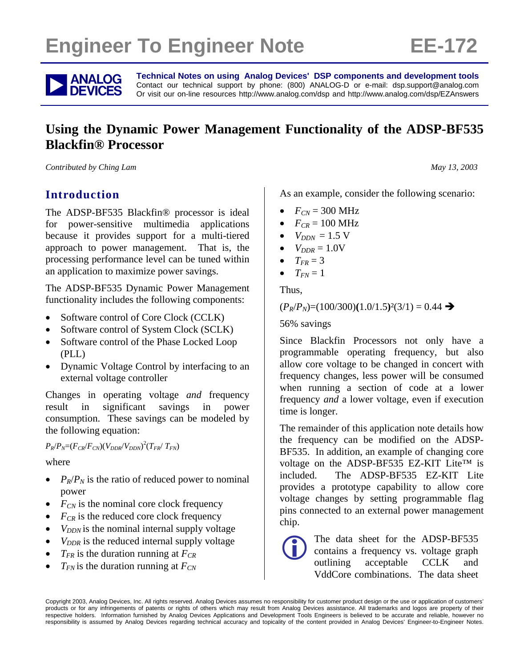# **Engineer To Engineer Note FE-172**



**ANALOG** Technical Notes on using Analog Devices' DSP components and development tools<br> **DEVICES** Or visit our on-line resources http://www.analog.com/dsp and http://www.analog.com/dsp/EZAnswers Contact our technical support by phone: (800) ANALOG-D or e-mail: dsp.support@analog.com Or visit our on-line resources http://www.analog.com/dsp and http://www.analog.com/dsp/EZAnswers

# **Using the Dynamic Power Management Functionality of the ADSP-BF535 Blackfin® Processor**

*Contributed by Ching Lam May 13, 2003* 

# **Introduction**

The ADSP-BF535 Blackfin® processor is ideal for power-sensitive multimedia applications because it provides support for a multi-tiered approach to power management. That is, the processing performance level can be tuned within an application to maximize power savings.

The ADSP-BF535 Dynamic Power Management functionality includes the following components:

- Software control of Core Clock (CCLK)
- Software control of System Clock (SCLK)
- Software control of the Phase Locked Loop (PLL)
- Dynamic Voltage Control by interfacing to an external voltage controller

Changes in operating voltage *and* frequency result in significant savings in power consumption. These savings can be modeled by the following equation:

 $P_R/P_N=(F_{CR}/F_{CN})(V_{DDR}/V_{DDN})^2(T_{FR}/T_{FN})$ 

where

- $P_R/P_N$  is the ratio of reduced power to nominal power
- $F_{CN}$  is the nominal core clock frequency
- $F_{CR}$  is the reduced core clock frequency
- $V_{DDN}$  is the nominal internal supply voltage
- $V_{DDR}$  is the reduced internal supply voltage
- $T_{FR}$  is the duration running at  $F_{CR}$
- $T_{FN}$  is the duration running at  $F_{CN}$

As an example, consider the following scenario:

- $F_{CN} = 300 \text{ MHz}$
- $F_{CR} = 100 \text{ MHz}$
- $V_{DDN} = 1.5 \text{ V}$
- $\bullet$   $V_{DDR} = 1.0V$
- $\bullet$   $T_{FR} = 3$
- $T_{FN} = 1$

Thus,

#### $(P_R/P_N)=(100/300)(1.0/1.5)^2(3/1)=0.44 \rightarrow$

56% savings

Since Blackfin Processors not only have a programmable operating frequency, but also allow core voltage to be changed in concert with frequency changes, less power will be consumed when running a section of code at a lower frequency *and* a lower voltage, even if execution time is longer.

The remainder of this application note details how the frequency can be modified on the ADSP-BF535. In addition, an example of changing core voltage on the ADSP-BF535 EZ-KIT Lite™ is included. The ADSP-BF535 EZ-KIT Lite provides a prototype capability to allow core voltage changes by setting programmable flag pins connected to an external power management chip.



The data sheet for the ADSP-BF535<br>contains a frequency vs. voltage graph<br>outlining acceptable CCLK and contains a frequency vs. voltage graph outlining acceptable CCLK and VddCore combinations. The data sheet

Copyright 2003, Analog Devices, Inc. All rights reserved. Analog Devices assumes no responsibility for customer product design or the use or application of customers' products or for any infringements of patents or rights of others which may result from Analog Devices assistance. All trademarks and logos are property of their respective holders. Information furnished by Analog Devices Applications and Development Tools Engineers is believed to be accurate and reliable, however no responsibility is assumed by Analog Devices regarding technical accuracy and topicality of the content provided in Analog Devices' Engineer-to-Engineer Notes.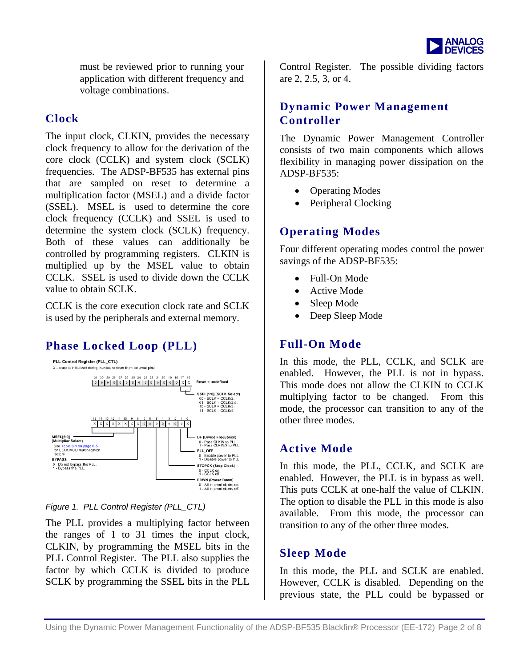

must be reviewed prior to running your application with different frequency and voltage combinations.

#### **Clock**

The input clock, CLKIN, provides the necessary clock frequency to allow for the derivation of the core clock (CCLK) and system clock (SCLK) frequencies. The ADSP-BF535 has external pins that are sampled on reset to determine a multiplication factor (MSEL) and a divide factor (SSEL). MSEL is used to determine the core clock frequency (CCLK) and SSEL is used to determine the system clock (SCLK) frequency. Both of these values can additionally be controlled by programming registers. CLKIN is multiplied up by the MSEL value to obtain CCLK. SSEL is used to divide down the CCLK value to obtain SCLK.

CCLK is the core execution clock rate and SCLK is used by the peripherals and external memory.

# **Phase Locked Loop (PLL)**



*Figure 1. PLL Control Register (PLL\_CTL)* 

The PLL provides a multiplying factor between the ranges of 1 to 31 times the input clock, CLKIN, by programming the MSEL bits in the PLL Control Register. The PLL also supplies the factor by which CCLK is divided to produce SCLK by programming the SSEL bits in the PLL

Control Register. The possible dividing factors are 2, 2.5, 3, or 4.

#### **Dynamic Power Management Controller**

The Dynamic Power Management Controller consists of two main components which allows flexibility in managing power dissipation on the ADSP-BF535:

- Operating Modes
- Peripheral Clocking

### **Operating Modes**

Four different operating modes control the power savings of the ADSP-BF535:

- Full-On Mode
- Active Mode
- Sleep Mode
- Deep Sleep Mode

#### **Full-On Mode**

In this mode, the PLL, CCLK, and SCLK are enabled. However, the PLL is not in bypass. This mode does not allow the CLKIN to CCLK multiplying factor to be changed. From this mode, the processor can transition to any of the other three modes.

#### **Active Mode**

In this mode, the PLL, CCLK, and SCLK are enabled. However, the PLL is in bypass as well. This puts CCLK at one-half the value of CLKIN. The option to disable the PLL in this mode is also available. From this mode, the processor can transition to any of the other three modes.

# **Sleep Mode**

In this mode, the PLL and SCLK are enabled. However, CCLK is disabled. Depending on the previous state, the PLL could be bypassed or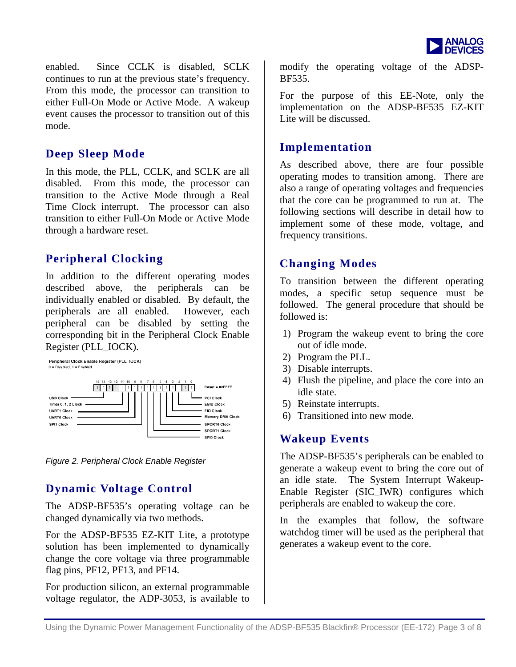

enabled. Since CCLK is disabled, SCLK continues to run at the previous state's frequency. From this mode, the processor can transition to either Full-On Mode or Active Mode. A wakeup event causes the processor to transition out of this mode.

#### **Deep Sleep Mode**

In this mode, the PLL, CCLK, and SCLK are all disabled. From this mode, the processor can transition to the Active Mode through a Real Time Clock interrupt. The processor can also transition to either Full-On Mode or Active Mode through a hardware reset.

### **Peripheral Clocking**

In addition to the different operating modes described above, the peripherals can be individually enabled or disabled. By default, the peripherals are all enabled. However, each peripheral can be disabled by setting the corresponding bit in the Peripheral Clock Enable Register (PLL\_IOCK).



*Figure 2. Peripheral Clock Enable Register* 

# **Dynamic Voltage Control**

The ADSP-BF535's operating voltage can be changed dynamically via two methods.

For the ADSP-BF535 EZ-KIT Lite, a prototype solution has been implemented to dynamically change the core voltage via three programmable flag pins, PF12, PF13, and PF14.

For production silicon, an external programmable voltage regulator, the ADP-3053, is available to

modify the operating voltage of the ADSP-BF535.

For the purpose of this EE-Note, only the implementation on the ADSP-BF535 EZ-KIT Lite will be discussed.

#### **Implementation**

As described above, there are four possible operating modes to transition among. There are also a range of operating voltages and frequencies that the core can be programmed to run at. The following sections will describe in detail how to implement some of these mode, voltage, and frequency transitions.

# **Changing Modes**

To transition between the different operating modes, a specific setup sequence must be followed. The general procedure that should be followed is:

- 1) Program the wakeup event to bring the core out of idle mode.
- 2) Program the PLL.
- 3) Disable interrupts.
- 4) Flush the pipeline, and place the core into an idle state.
- 5) Reinstate interrupts.
- 6) Transitioned into new mode.

#### **Wakeup Events**

The ADSP-BF535's peripherals can be enabled to generate a wakeup event to bring the core out of an idle state. The System Interrupt Wakeup-Enable Register (SIC\_IWR) configures which peripherals are enabled to wakeup the core.

In the examples that follow, the software watchdog timer will be used as the peripheral that generates a wakeup event to the core.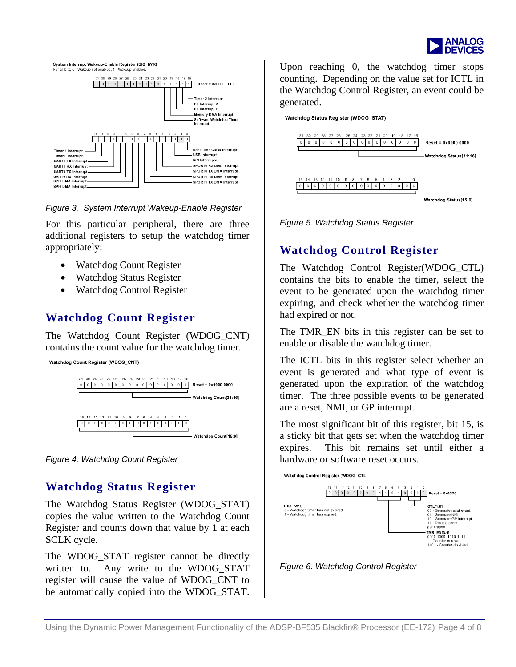

System Interrupt Wakeup-Enable Register (SIC IWR) all bits, 0 - Wakeup not er



*Figure 3. System Interrupt Wakeup-Enable Register* 

For this particular peripheral, there are three additional registers to setup the watchdog timer appropriately:

- Watchdog Count Register
- Watchdog Status Register
- Watchdog Control Register

# **Watchdog Count Register**

The Watchdog Count Register (WDOG\_CNT) contains the count value for the watchdog timer.

Watchdog Count Register (WDOG\_CNT)



*Figure 4. Watchdog Count Register* 

# **Watchdog Status Register**

The Watchdog Status Register (WDOG\_STAT) copies the value written to the Watchdog Count Register and counts down that value by 1 at each SCLK cycle.

The WDOG\_STAT register cannot be directly written to. Any write to the WDOG STAT register will cause the value of WDOG\_CNT to be automatically copied into the WDOG\_STAT.

Upon reaching 0, the watchdog timer stops counting. Depending on the value set for ICTL in the Watchdog Control Register, an event could be generated.

Watchdog Status Register (WDOG\_STAT)



*Figure 5. Watchdog Status Register* 

# **Watchdog Control Register**

The Watchdog Control Register(WDOG\_CTL) contains the bits to enable the timer, select the event to be generated upon the watchdog timer expiring, and check whether the watchdog timer had expired or not.

The TMR\_EN bits in this register can be set to enable or disable the watchdog timer.

The ICTL bits in this register select whether an event is generated and what type of event is generated upon the expiration of the watchdog timer. The three possible events to be generated are a reset, NMI, or GP interrupt.

The most significant bit of this register, bit 15, is a sticky bit that gets set when the watchdog timer expires. This bit remains set until either a hardware or software reset occurs.



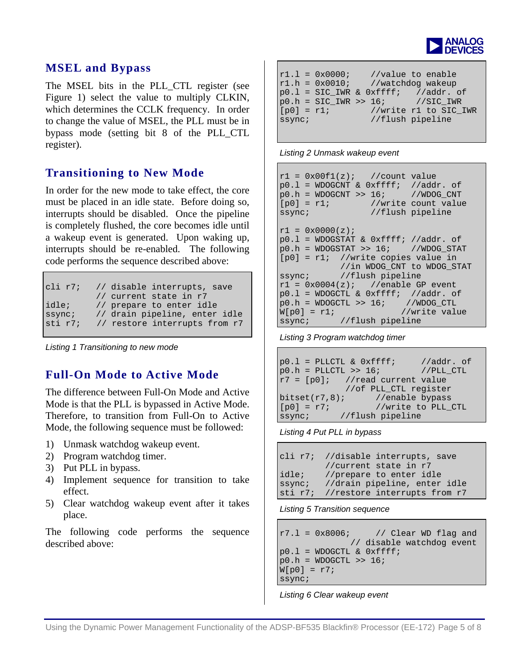

#### **MSEL and Bypass**

The MSEL bits in the PLL\_CTL register (see Figure 1) select the value to multiply CLKIN, which determines the CCLK frequency. In order to change the value of MSEL, the PLL must be in bypass mode (setting bit 8 of the PLL\_CTL register).

### **Transitioning to New Mode**

In order for the new mode to take effect, the core must be placed in an idle state. Before doing so, interrupts should be disabled. Once the pipeline is completely flushed, the core becomes idle until a wakeup event is generated. Upon waking up, interrupts should be re-enabled. The following code performs the sequence described above:

```
cli r7; // disable interrupts, save 
             // current state in r7 
idle; // prepare to enter idle 
ssync; // drain pipeline, enter idle<br>sti r7; // restore interrupts from r7
            // restore interrupts from r7
```
*Listing 1 Transitioning to new mode* 

# **Full-On Mode to Active Mode**

The difference between Full-On Mode and Active Mode is that the PLL is bypassed in Active Mode. Therefore, to transition from Full-On to Active Mode, the following sequence must be followed:

- 1) Unmask watchdog wakeup event.
- 2) Program watchdog timer.
- 3) Put PLL in bypass.
- 4) Implement sequence for transition to take effect.
- 5) Clear watchdog wakeup event after it takes place.

The following code performs the sequence described above:

| $r1.1 = 0x0000;$       | $r1.h = 0x0010$ ; //watchdog wakeup | //value to enable                                                                                                        |
|------------------------|-------------------------------------|--------------------------------------------------------------------------------------------------------------------------|
| $[p0] = r1;$<br>ssync; |                                     | $p0.1 = SIC_IWR & 0xffff; //addr. of$<br>$p0.h = SIC_IWR \gg 16;$ //SIC_IWR<br>//write r1 to SIC IWR<br>//flush pipeline |

#### *Listing 2 Unmask wakeup event*

```
r1 = 0x00f1(z); //count value
p0.1 = WDOGCNT & 0xffff; //addr. of<br>p0.h = WDOGCNT >> 16; //WDOG_CNT
p0.h = WDOGCNT >> 16;<br>[p0] = r1; //wr
                   //write count value
ssync; //flush pipeline
r1 = 0x0000(z);p0.1 = WDOGSTAT & 0xffff; //addr. of<br>p0.h = WDOGSTAT >> 16; //WDOG STAT
p0.h = WDOGSTAT >> 16;[p0] = r1; //write copies value in
               //in WDOG_CNT to WDOG_STAT 
ssync; //flush pipeline<br>r1 = 0x0004(z); //enable G
                   //enable GP event
p0.1 = WDOGCTL & 0xffff; //addr. of
p0.h = WDOGCTL >> 16; //WDOG_CTLW[p0] = r1; //write value
ssync; //flush pipeline
```
*Listing 3 Program watchdog timer*

```
p0.1 = PLLCTL & 0xffff; //addr. of
p0.h = PLLCTL >> 16; //PLL_CTL
r7 = [p0]; //read current value
/of PLL_CTL register<br>bitset(r7,8); //enable bypass
bitset(r7,8); //enable bypass<br>[p0] = r7; //write to PLL
[p0] = r7; //write to PLL_CTL ssync; //flush pipeline
              //flush pipeline
```
*Listing 4 Put PLL in bypass*

```
cli r7; //disable interrupts, save 
          //current state in r7 
idle; //prepare to enter idle 
ssync; //drain pipeline, enter idle 
sti r7; //restore interrupts from r7
```
*Listing 5 Transition sequence* 

 $r7.1 = 0x8006$ ; // Clear WD flag and // disable watchdog event  $p0.1$  = WDOGCTL &  $0xfft$  $p0.h = WDOGCTL >> 16;$  $W[p0] = r7;$ ssync;

*Listing 6 Clear wakeup event*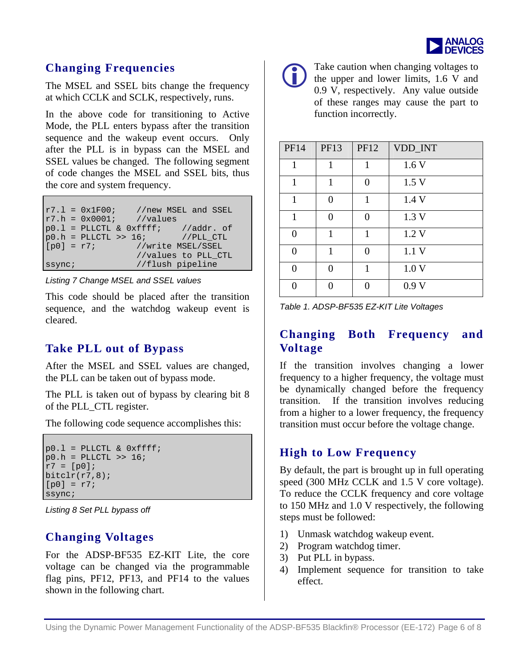

# **Changing Frequencies**

The MSEL and SSEL bits change the frequency at which CCLK and SCLK, respectively, runs.

In the above code for transitioning to Active Mode, the PLL enters bypass after the transition sequence and the wakeup event occurs. Only after the PLL is in bypass can the MSEL and SSEL values be changed. The following segment of code changes the MSEL and SSEL bits, thus the core and system frequency.

|              | $r7.1 = 0x1F00;$          | //new MSEL and SSEL                     |
|--------------|---------------------------|-----------------------------------------|
|              | $r7.h = 0x0001;$ //values |                                         |
|              |                           | $p0.1$ = PLLCTL & $0xffff$ ; //addr. of |
|              |                           | $p0.h = PLLCTL >> 16$ ; //PLL CTL       |
| $[p0] = r7;$ |                           | //write MSEL/SSEL                       |
|              |                           | //values to PLL_CTL                     |
| ssync;       |                           | //flush pipeline                        |

<span id="page-5-0"></span>*Listing 7 Change MSEL and SSEL values* 

This code should be placed after the transition sequence, and the watchdog wakeup event is cleared.

# **Take PLL out of Bypass**

After the MSEL and SSEL values are changed, the PLL can be taken out of bypass mode.

The PLL is taken out of bypass by clearing bit 8 of the PLL\_CTL register.

The following code sequence accomplishes this:

```
p0.1 = PLLCTL & 0xfftp0.h =PLLCTL >> 16;
r7 = [p0];bitclr(r7,8);[p0] = r7;ssync;
```
<span id="page-5-1"></span>*Listing 8 Set PLL bypass off* 

# **Changing Voltages**

For the ADSP-BF535 EZ-KIT Lite, the core voltage can be changed via the programmable flag pins, PF12, PF13, and PF14 to the values shown in the following chart.



Take caution when changing voltages to<br>the upper and lower limits, 1.6 V and<br>0.9 V reconctively. Any value outside the upper and lower limits, 1.6 V and 0.9 V, respectively. Any value outside of these ranges may cause the part to function incorrectly.

| <b>PF14</b> | <b>PF13</b> | <b>PF12</b> | VDD_INT          |
|-------------|-------------|-------------|------------------|
| 1           | 1           | 1           | 1.6V             |
| 1           | 1           | $\Omega$    | 1.5 <sub>V</sub> |
| 1           | 0           | 1           | 1.4 V            |
| 1           | 0           | ∩           | 1.3 V            |
| 0           | 1           | 1           | 1.2V             |
| 0           | 1           | ∩           | 1.1V             |
| 0           | ∩           | 1           | 1.0V             |
| ∩           |             |             | 0.9V             |

| Table 1. ADSP-BF535 EZ-KIT Lite Voltages |  |
|------------------------------------------|--|
|------------------------------------------|--|

# **Changing Both Frequency and Voltage**

If the transition involves changing a lower frequency to a higher frequency, the voltage must be dynamically changed before the frequency transition. If the transition involves reducing from a higher to a lower frequency, the frequency transition must occur before the voltage change.

# **High to Low Frequency**

By default, the part is brought up in full operating speed (300 MHz CCLK and 1.5 V core voltage). To reduce the CCLK frequency and core voltage to 150 MHz and 1.0 V respectively, the following steps must be followed:

- 1) Unmask watchdog wakeup event.
- 2) Program watchdog timer.
- 3) Put PLL in bypass.
- 4) Implement sequence for transition to take effect.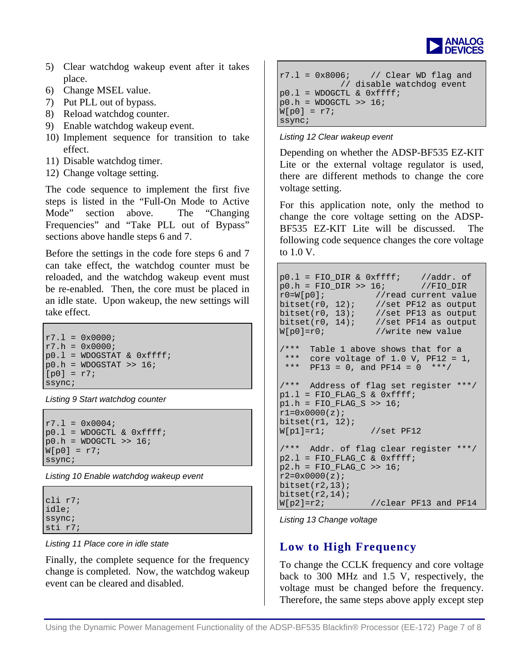

- 5) Clear watchdog wakeup event after it takes place.
- 6) Change MSEL value.
- 7) Put PLL out of bypass.
- 8) Reload watchdog counter.
- 9) Enable watchdog wakeup event.
- 10) Implement sequence for transition to take effect.
- 11) Disable watchdog timer.
- 12) Change voltage setting.

The code sequence to implement the first five steps is listed in the "Full-On Mode to Active Mode" section above. The "Changing Frequencies" and "Take PLL out of Bypass" sections above handle steps 6 and 7.

Before the settings in the code fore steps 6 and 7 can take effect, the watchdog counter must be reloaded, and the watchdog wakeup event must be re-enabled. Then, the core must be placed in an idle state. Upon wakeup, the new settings will take effect.

```
r7.1 = 0x0000;r7.h = 0x0000;p0.1 = WDOGSTAT & 0xfftp0.h = WDOGSTAT >> 16;[p0] = r7;ssync;
```
*Listing 9 Start watchdog counter* 

```
r7.1 = 0x0004;p0.1 = WDOGCTL & 0xfftf;
p0.h = WDOGCTL >> 16;W[p0] = r7;ssync;
```
*Listing 10 Enable watchdog wakeup event* 

| cli r7;<br>idle; |  |
|------------------|--|
| ssync;           |  |
| sti r7;          |  |

*Listing 11 Place core in idle state* 

Finally, the complete sequence for the frequency change is completed. Now, the watchdog wakeup event can be cleared and disabled.

```
r7.1 = 0x8006; // Clear WD flag and
            // disable watchdog event 
p0.1 = WDOGCTL & 0xfftp0.h = WDOGCTL >> 16;W[p0] = r7;ssync;
```
#### *Listing 12 Clear wakeup event*

Depending on whether the ADSP-BF535 EZ-KIT Lite or the external voltage regulator is used, there are different methods to change the core voltage setting.

For this application note, only the method to change the core voltage setting on the ADSP-BF535 EZ-KIT Lite will be discussed. The following code sequence changes the core voltage to 1.0 V.

```
p0.1 = FIO_DIR & 0xffff; //addr. of
p0.h = FIO_DIR >> 16; //FIO_DIR 
r0=W[p0]; //read current value<br>bitset(r0, 12); //set PF12 as output
                  //set PF12 as output
bitset(r0, 13); //set PF13 as output
bitset(r0, 14); //set PF14 as output
W[p0]=r0; //write new value 
/*** Table 1 above shows that for a 
  *** core voltage of 1.0 V, PF12 = 1, 
 *** PF13 = 0, and PF14 = 0 ***/
/*** Address of flag set register ***/ 
p1.1 = FIO FLAG S & 0xffff;
p1.h = FIO_FLAG_S >> 16;r1=0x0000(z);bitset(r1, 12);
W[p1]=r1; //set PF12
/*** Addr. of flag clear register ***/ 
p2.1 = FIO_FLAG_C & Oxfff;p2.h = FIO_FLAG_C >> 16;r2=0x0000(z);bitset(r2,13);bitset(r2,14);<br>W[p2]=r2;
                  //clear PF13 and PF14
```
*Listing 13 Change voltage* 

# **Low to High Frequency**

To change the CCLK frequency and core voltage back to 300 MHz and 1.5 V, respectively, the voltage must be changed before the frequency. Therefore, the same steps above apply except step